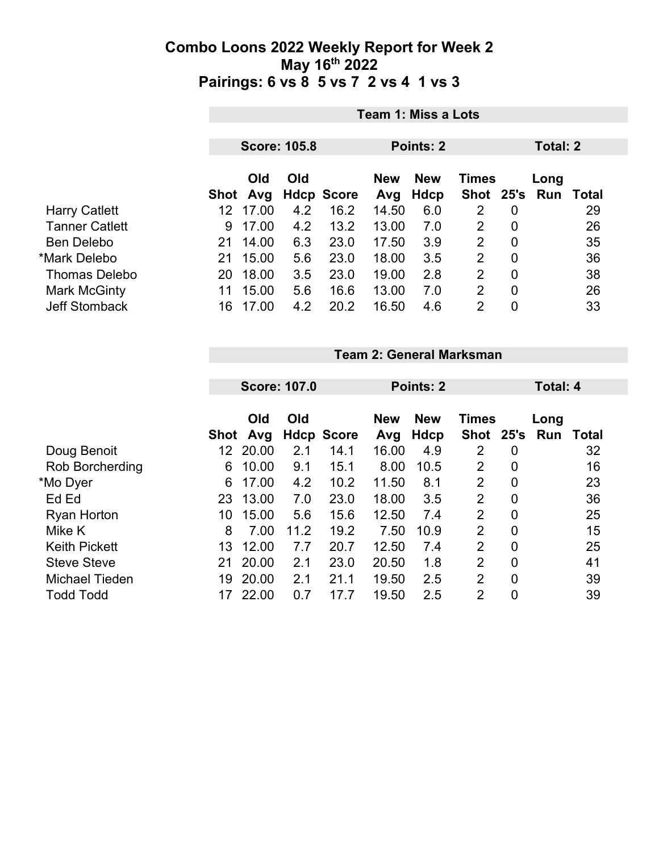|                       | Team 1: Miss a Lots |                     |     |                   |            |                  |                |                |     |       |  |
|-----------------------|---------------------|---------------------|-----|-------------------|------------|------------------|----------------|----------------|-----|-------|--|
|                       |                     | <b>Score: 105.8</b> |     |                   |            | <b>Points: 2</b> |                | Total: 2       |     |       |  |
|                       | Old<br>Old          |                     |     | <b>New</b>        | <b>New</b> |                  | Long           |                |     |       |  |
|                       |                     | Shot Avg            |     | <b>Hdcp Score</b> | Avg        | <b>Hdcp</b>      | Shot 25's      |                | Run | Total |  |
| <b>Harry Catlett</b>  | 12 <sup>2</sup>     | 17.00               | 4.2 | 16.2              | 14.50      | 6.0              | 2              | 0              |     | 29    |  |
| <b>Tanner Catlett</b> | 9                   | 17.00               | 4.2 | 13.2              | 13.00      | 7.0              | 2              | 0              |     | 26    |  |
| <b>Ben Delebo</b>     | 21                  | 14.00               | 6.3 | 23.0              | 17.50      | 3.9              | 2              | 0              |     | 35    |  |
| *Mark Delebo          | 21                  | 15.00               | 5.6 | 23.0              | 18.00      | 3.5              | 2              | $\overline{0}$ |     | 36    |  |
| <b>Thomas Delebo</b>  | 20                  | 18.00               | 3.5 | 23.0              | 19.00      | 2.8              | $\overline{2}$ | $\overline{0}$ |     | 38    |  |
| Mark McGinty          | 11                  | 15.00               | 5.6 | 16.6              | 13.00      | 7.0              | 2              | 0              |     | 26    |  |
| <b>Jeff Stomback</b>  | 16                  | 17.00               | 4.2 | 20.2              | 16.50      | 4.6              | 2              | $\overline{0}$ |     | 33    |  |

|                      |    | <b>Score: 107.0</b> |      |                   |                   | Points: 2          |                |                |                             | Total: 4 |  |  |
|----------------------|----|---------------------|------|-------------------|-------------------|--------------------|----------------|----------------|-----------------------------|----------|--|--|
|                      |    | Old<br>Shot Avg     | Old  | <b>Hdcp Score</b> | <b>New</b><br>Avg | <b>New</b><br>Hdcp | <b>Times</b>   |                | Long<br>Shot 25's Run Total |          |  |  |
| Doug Benoit          |    | 20.00               | 2.1  | 14.1              | 16.00             | 4.9                | $\overline{2}$ | $\overline{0}$ |                             | 32       |  |  |
| Rob Borcherding      | 6. | 10.00               | 9.1  | 15.1              | 8.00              | 10.5               | $\overline{2}$ | $\overline{0}$ |                             | 16       |  |  |
| *Mo Dyer             | 6  | 17.00               | 4.2  | 10.2              | 11.50             | 8.1                | 2              | 0              |                             | 23       |  |  |
| Ed Ed                | 23 | 13.00               | 7.0  | 23.0              | 18.00             | 3.5                | 2              | 0              |                             | 36       |  |  |
| <b>Ryan Horton</b>   | 10 | 15.00               | 5.6  | 15.6              | 12.50             | 7.4                | $\overline{2}$ | $\overline{0}$ |                             | 25       |  |  |
| Mike K               | 8  | 7.00                | 11.2 | 19.2              | 7.50              | 10.9               | $\overline{2}$ | $\overline{0}$ |                             | 15       |  |  |
| <b>Keith Pickett</b> | 13 | 12.00               | 7.7  | 20.7              | 12.50             | 7.4                | 2              | 0              |                             | 25       |  |  |
|                      |    |                     |      |                   |                   |                    |                |                |                             |          |  |  |

**Team 2: General Marksman**

17 22.00 0.7 17.7 19.50 2.5 2 0 39

 Steve Steve 21 20.00 2.1 23.0 20.50 1.8 2 0 41 Michael Tieden 19 20.00 2.1 21.1 19.50 2.5 2 0 39<br>Todd Todd 17 22.00 0.7 17.7 19.50 2.5 2 0 39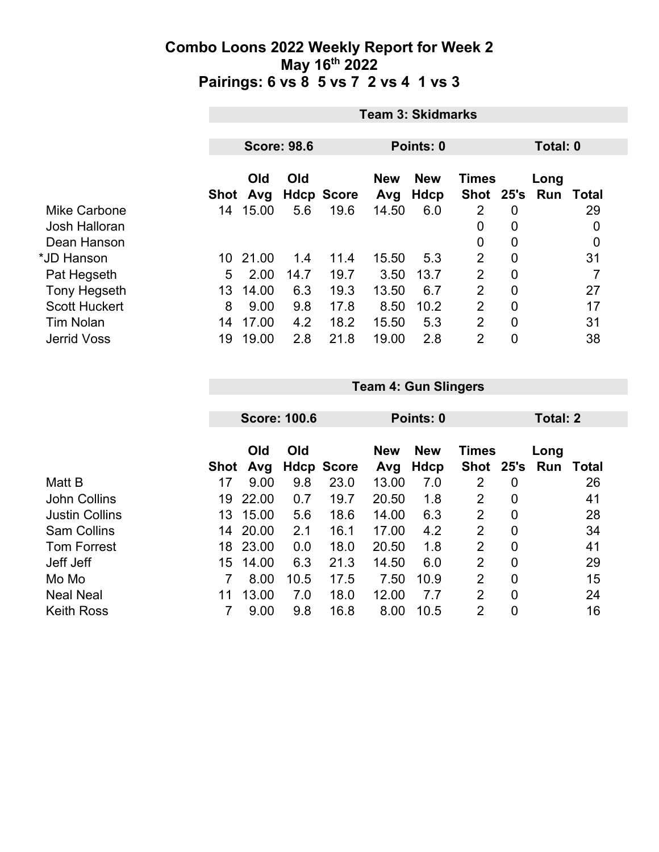|                      | <b>Team 3: Skidmarks</b> |                    |      |                   |            |            |                |                |      |                  |  |  |
|----------------------|--------------------------|--------------------|------|-------------------|------------|------------|----------------|----------------|------|------------------|--|--|
|                      |                          |                    |      |                   |            |            |                |                |      |                  |  |  |
|                      |                          | <b>Score: 98.6</b> |      |                   |            | Points: 0  |                |                |      | Total: 0         |  |  |
|                      |                          | Old                | Old  |                   | <b>New</b> | <b>New</b> | <b>Times</b>   |                | Long |                  |  |  |
|                      | Shot                     | Avg                |      | <b>Hdcp Score</b> | Avg        | Hdcp       | <b>Shot</b>    | 25's           | Run  | Total            |  |  |
| Mike Carbone         | 14                       | 15.00              | 5.6  | 19.6              | 14.50      | 6.0        | 2              | $\overline{0}$ |      | 29               |  |  |
| Josh Halloran        |                          |                    |      |                   |            |            | 0              | 0              |      | 0                |  |  |
| Dean Hanson          |                          |                    |      |                   |            |            | 0              | 0              |      | $\boldsymbol{0}$ |  |  |
| *JD Hanson           | 10                       | 21.00              | 1.4  | 11.4              | 15.50      | 5.3        | 2              | $\mathbf 0$    |      | 31               |  |  |
| Pat Hegseth          | 5                        | 2.00               | 14.7 | 19.7              | 3.50       | 13.7       | $\overline{2}$ | $\mathbf 0$    |      | 7                |  |  |
| Tony Hegseth         | 13                       | 14.00              | 6.3  | 19.3              | 13.50      | 6.7        | 2              | $\overline{0}$ |      | 27               |  |  |
| <b>Scott Huckert</b> | 8                        | 9.00               | 9.8  | 17.8              | 8.50       | 10.2       | $\overline{2}$ | 0              |      | 17               |  |  |
| <b>Tim Nolan</b>     | 14                       | 17.00              | 4.2  | 18.2              | 15.50      | 5.3        | $\overline{2}$ | $\overline{0}$ |      | 31               |  |  |
| <b>Jerrid Voss</b>   | 19                       | 19.00              | 2.8  | 21.8              | 19.00      | 2.8        | $\overline{2}$ | 0              |      | 38               |  |  |

|                       | <b>Score: 100.6</b> |       |      |                   |            |            |                |                  |          |       |  |
|-----------------------|---------------------|-------|------|-------------------|------------|------------|----------------|------------------|----------|-------|--|
|                       |                     |       |      |                   | Points: 0  |            |                |                  | Total: 2 |       |  |
|                       |                     | Old   | Old  |                   | <b>New</b> | <b>New</b> | <b>Times</b>   |                  | Long     |       |  |
|                       | <b>Shot</b>         | Avg   |      | <b>Hdcp Score</b> | Avg        | Hdcp       | <b>Shot</b>    | 25's             | Run      | Total |  |
| Matt B                | 17                  | 9.00  | 9.8  | 23.0              | 13.00      | 7.0        | 2              | $\overline{0}$   |          | 26    |  |
| <b>John Collins</b>   | 19                  | 22.00 | 0.7  | 19.7              | 20.50      | 1.8        | $\overline{2}$ | $\overline{0}$   |          | 41    |  |
| <b>Justin Collins</b> | 13                  | 15.00 | 5.6  | 18.6              | 14.00      | 6.3        | $\overline{2}$ | $\boldsymbol{0}$ |          | 28    |  |
| <b>Sam Collins</b>    | 14                  | 20.00 | 2.1  | 16.1              | 17.00      | 4.2        | 2              | $\overline{0}$   |          | 34    |  |
| <b>Tom Forrest</b>    | 18                  | 23.00 | 0.0  | 18.0              | 20.50      | 1.8        | $\overline{2}$ | $\overline{0}$   |          | 41    |  |
| Jeff Jeff             | 15                  | 14.00 | 6.3  | 21.3              | 14.50      | 6.0        | $\overline{2}$ | $\overline{0}$   |          | 29    |  |
| Mo Mo                 |                     | 8.00  | 10.5 | 17.5              | 7.50       | 10.9       | $\overline{2}$ | $\overline{0}$   |          | 15    |  |
| <b>Neal Neal</b>      | 11                  | 13.00 | 7.0  | 18.0              | 12.00      | 7.7        | $\overline{2}$ | $\overline{0}$   |          | 24    |  |
| <b>Keith Ross</b>     |                     | 9.00  | 9.8  | 16.8              | 8.00       | 10.5       | 2              | 0                |          | 16    |  |

**Team 4: Gun Slingers**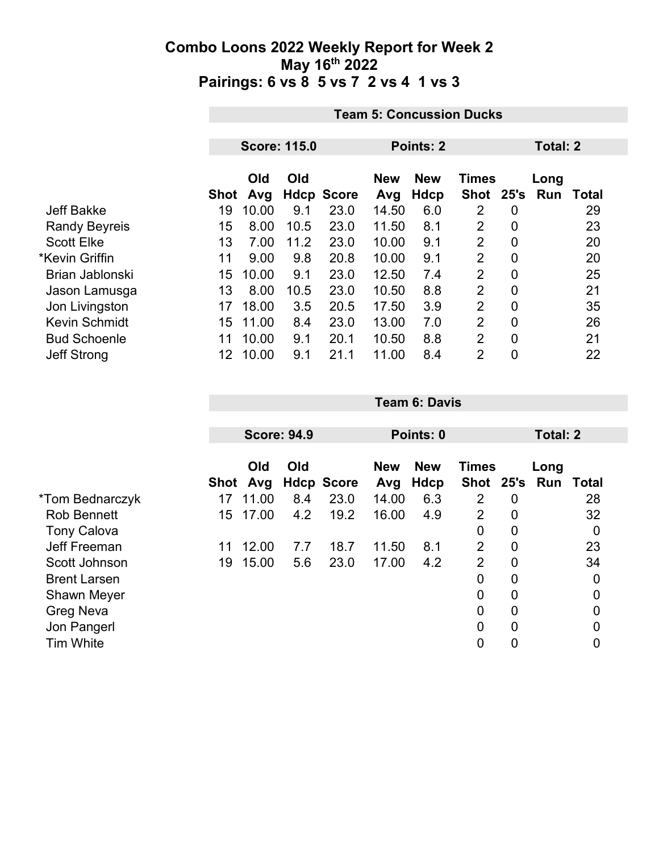|                      | <b>Team 5: Concussion Ducks</b> |                     |      |                   |            |            |                |                |      |              |  |
|----------------------|---------------------------------|---------------------|------|-------------------|------------|------------|----------------|----------------|------|--------------|--|
|                      |                                 | <b>Score: 115.0</b> |      |                   |            | Points: 2  |                | Total: 2       |      |              |  |
|                      |                                 |                     |      |                   |            |            |                |                |      |              |  |
|                      |                                 | Old                 | Old  |                   | <b>New</b> | <b>New</b> | <b>Times</b>   |                | Long |              |  |
|                      | Shot                            | Avg                 |      | <b>Hdcp Score</b> | Avg        | Hdcp       | Shot           | 25's           | Run  | <b>Total</b> |  |
| <b>Jeff Bakke</b>    | 19                              | 10.00               | 9.1  | 23.0              | 14.50      | 6.0        | 2              | $\overline{0}$ |      | 29           |  |
| <b>Randy Beyreis</b> | 15                              | 8.00                | 10.5 | 23.0              | 11.50      | 8.1        | $\overline{2}$ | $\overline{0}$ |      | 23           |  |
| <b>Scott Elke</b>    | 13                              | 7.00                | 11.2 | 23.0              | 10.00      | 9.1        | $\overline{2}$ | $\mathbf 0$    |      | 20           |  |
| *Kevin Griffin       | 11                              | 9.00                | 9.8  | 20.8              | 10.00      | 9.1        | $\overline{2}$ | $\overline{0}$ |      | 20           |  |
| Brian Jablonski      | 15                              | 10.00               | 9.1  | 23.0              | 12.50      | 7.4        | $\overline{2}$ | $\overline{0}$ |      | 25           |  |
| Jason Lamusga        | 13                              | 8.00                | 10.5 | 23.0              | 10.50      | 8.8        | $\overline{2}$ | $\mathbf 0$    |      | 21           |  |
| Jon Livingston       | 17                              | 18.00               | 3.5  | 20.5              | 17.50      | 3.9        | $\overline{2}$ | $\overline{0}$ |      | 35           |  |
| <b>Kevin Schmidt</b> | 15                              | 11.00               | 8.4  | 23.0              | 13.00      | 7.0        | $\overline{2}$ | $\overline{0}$ |      | 26           |  |
| <b>Bud Schoenle</b>  | 11                              | 10.00               | 9.1  | 20.1              | 10.50      | 8.8        | $\overline{2}$ | $\mathbf 0$    |      | 21           |  |
| <b>Jeff Strong</b>   | 12 <sup>°</sup>                 | 10.00               | 9.1  | 21.1              | 11.00      | 8.4        | $\overline{2}$ | $\overline{0}$ |      | 22           |  |

|                     |    | <b>Score: 94.9</b> |     |                   | Points: 0         |                    |                |   | Total: 2                    |    |  |
|---------------------|----|--------------------|-----|-------------------|-------------------|--------------------|----------------|---|-----------------------------|----|--|
|                     |    | Old<br>Shot Avg    | Old | <b>Hdcp Score</b> | <b>New</b><br>Avg | <b>New</b><br>Hdcp | Times          |   | Long<br>Shot 25's Run Total |    |  |
| *Tom Bednarczyk     | 17 | 11.00              | 8.4 | 23.0              | 14.00             | 6.3                | $\overline{2}$ | 0 |                             | 28 |  |
| <b>Rob Bennett</b>  | 15 | 17.00              | 4.2 | 19.2              | 16.00             | 4.9                | $\overline{2}$ | 0 |                             | 32 |  |
| <b>Tony Calova</b>  |    |                    |     |                   |                   |                    | 0              | 0 |                             | 0  |  |
| <b>Jeff Freeman</b> | 11 | 12.00              | 7.7 | 18.7              | 11.50             | 8.1                | $\overline{2}$ | 0 |                             | 23 |  |
| Scott Johnson       | 19 | 15.00              | 5.6 | 23.0              | 17.00             | 4.2                | $\overline{2}$ | 0 |                             | 34 |  |
| <b>Brent Larsen</b> |    |                    |     |                   |                   |                    | 0              | 0 |                             | 0  |  |
| <b>Shawn Meyer</b>  |    |                    |     |                   |                   |                    | $\overline{0}$ | 0 |                             | 0  |  |
| <b>Greg Neva</b>    |    |                    |     |                   |                   |                    | 0              | 0 |                             | 0  |  |
| Jon Pangerl         |    |                    |     |                   |                   |                    | 0              | 0 |                             | 0  |  |
| <b>Tim White</b>    |    |                    |     |                   |                   |                    | 0              | 0 |                             |    |  |

**Team 6: Davis**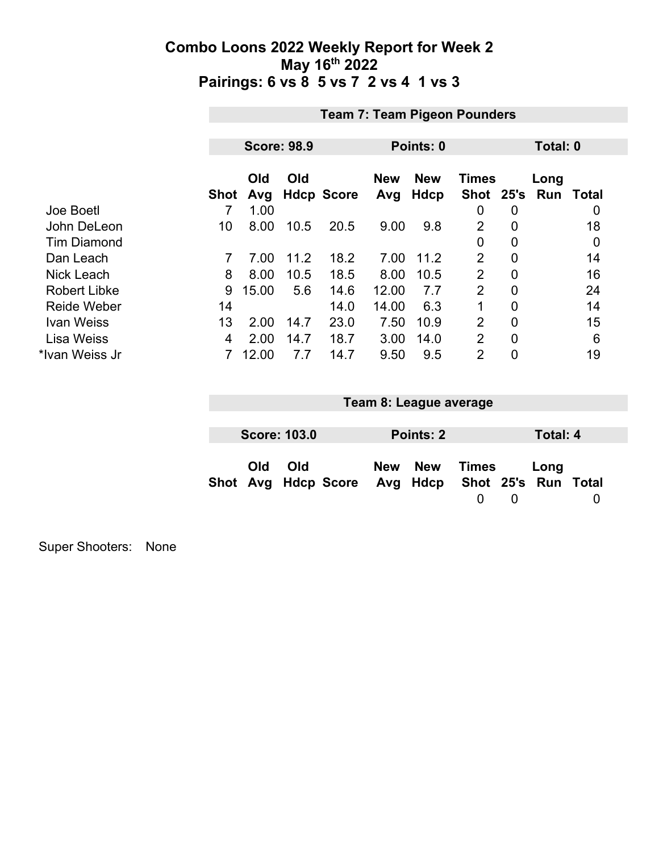|                     | <b>Team 7: Team Pigeon Pounders</b> |            |      |                   |                   |                           |                    |                |                    |          |  |  |
|---------------------|-------------------------------------|------------|------|-------------------|-------------------|---------------------------|--------------------|----------------|--------------------|----------|--|--|
|                     |                                     |            |      |                   |                   |                           |                    |                |                    |          |  |  |
|                     | <b>Score: 98.9</b>                  |            |      |                   | Points: 0         |                           |                    |                |                    | Total: 0 |  |  |
|                     | <b>Shot</b>                         | Old<br>Avg | Old  | <b>Hdcp Score</b> | <b>New</b><br>Avg | <b>New</b><br><b>Hdcp</b> | Times<br>Shot 25's |                | Long<br><b>Run</b> | Total    |  |  |
| Joe Boetl           |                                     | 1.00       |      |                   |                   |                           | 0                  | 0              |                    | 0        |  |  |
| John DeLeon         | 10                                  | 8.00       | 10.5 | 20.5              | 9.00              | 9.8                       | 2                  | 0              |                    | 18       |  |  |
| <b>Tim Diamond</b>  |                                     |            |      |                   |                   |                           | 0                  | $\overline{0}$ |                    | 0        |  |  |
| Dan Leach           | 7                                   | 7.00       | 11.2 | 18.2              | 7.00              | 11.2                      | $\overline{2}$     | $\overline{0}$ |                    | 14       |  |  |
| <b>Nick Leach</b>   | 8                                   | 8.00       | 10.5 | 18.5              | 8.00              | 10.5                      | $\overline{2}$     | $\overline{0}$ |                    | 16       |  |  |
| <b>Robert Libke</b> | 9                                   | 15.00      | 5.6  | 14.6              | 12.00             | 7.7                       | $\overline{2}$     | 0              |                    | 24       |  |  |
| <b>Reide Weber</b>  | 14                                  |            |      | 14.0              | 14.00             | 6.3                       |                    | 0              |                    | 14       |  |  |
| Ivan Weiss          | 13                                  | 2.00       | 14.7 | 23.0              | 7.50              | 10.9                      | $\overline{2}$     | 0              |                    | 15       |  |  |
| <b>Lisa Weiss</b>   | 4                                   | 2.00       | 14.7 | 18.7              | 3.00              | 14.0                      | $\overline{2}$     | $\overline{0}$ |                    | 6        |  |  |
| *Ivan Weiss Jr      |                                     | 12.00      | 7.7  | 14.7              | 9.50              | 9.5                       | $\overline{2}$     | 0              |                    | 19       |  |  |

| Team 8: League average |                     |                                                  |  |           |       |   |          |  |  |
|------------------------|---------------------|--------------------------------------------------|--|-----------|-------|---|----------|--|--|
|                        |                     |                                                  |  |           |       |   |          |  |  |
|                        | <b>Score: 103.0</b> |                                                  |  | Points: 2 |       |   | Total: 4 |  |  |
| Old                    | Old                 | Shot Avg Hdcp Score Avg Hdcp Shot 25's Run Total |  | New New   | Times | 0 | Long     |  |  |

Super Shooters: None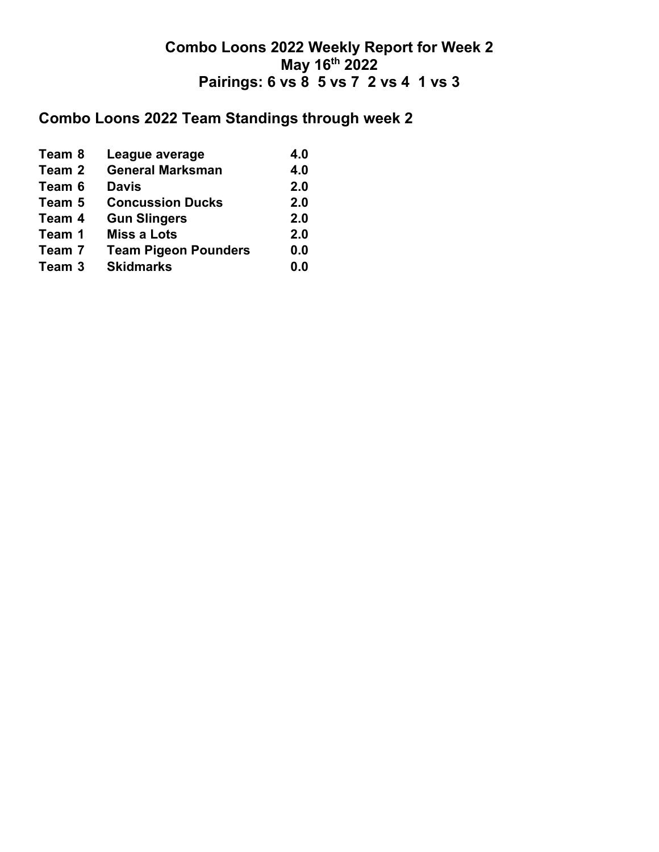# **Combo Loons 2022 Team Standings through week 2**

| Team 8 | League average              | 4.0 |
|--------|-----------------------------|-----|
| Team 2 | <b>General Marksman</b>     | 4.0 |
| Team 6 | <b>Davis</b>                | 2.0 |
| Team 5 | <b>Concussion Ducks</b>     | 2.0 |
| Team 4 | <b>Gun Slingers</b>         | 2.0 |
| Team 1 | <b>Miss a Lots</b>          | 2.0 |
| Team 7 | <b>Team Pigeon Pounders</b> | 0.0 |
| Team 3 | <b>Skidmarks</b>            | 0.0 |
|        |                             |     |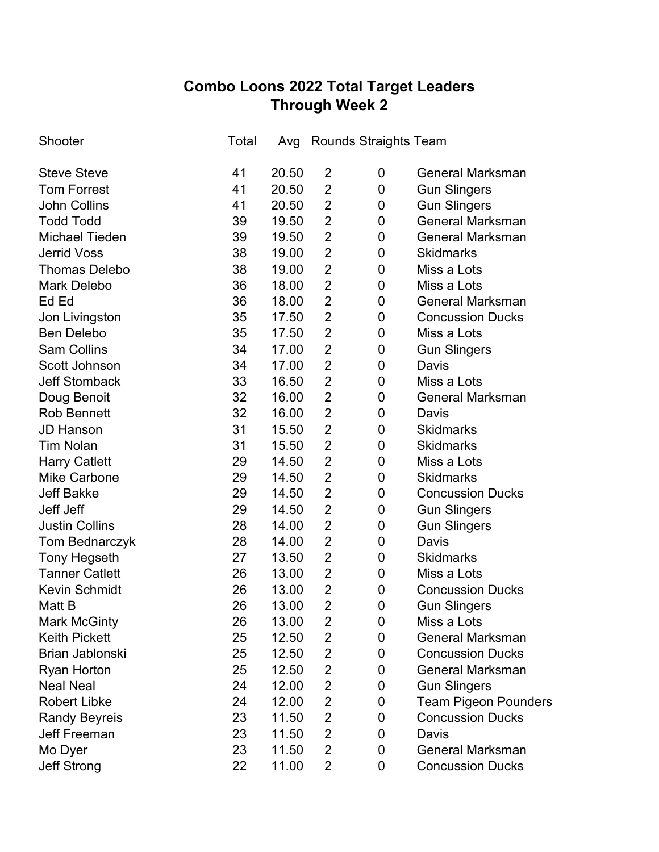## **Combo Loons 2022 Total Target Leaders Through Week 2**

| Shooter               | Total | Avg   |                | <b>Rounds Straights Team</b> |                             |
|-----------------------|-------|-------|----------------|------------------------------|-----------------------------|
| <b>Steve Steve</b>    | 41    | 20.50 | $\overline{2}$ | 0                            | <b>General Marksman</b>     |
| <b>Tom Forrest</b>    | 41    | 20.50 | $\overline{2}$ | 0                            | <b>Gun Slingers</b>         |
| <b>John Collins</b>   | 41    | 20.50 | $\overline{2}$ | 0                            | <b>Gun Slingers</b>         |
| <b>Todd Todd</b>      | 39    | 19.50 | $\overline{2}$ | 0                            | <b>General Marksman</b>     |
| <b>Michael Tieden</b> | 39    | 19.50 | $\overline{2}$ | 0                            | <b>General Marksman</b>     |
| <b>Jerrid Voss</b>    | 38    | 19.00 | $\overline{2}$ | 0                            | <b>Skidmarks</b>            |
| <b>Thomas Delebo</b>  | 38    | 19.00 | $\overline{2}$ | 0                            | Miss a Lots                 |
| <b>Mark Delebo</b>    | 36    | 18.00 | $\overline{2}$ | 0                            | Miss a Lots                 |
| Ed Ed                 | 36    | 18.00 | $\overline{2}$ | 0                            | <b>General Marksman</b>     |
| Jon Livingston        | 35    | 17.50 | $\overline{2}$ | 0                            | <b>Concussion Ducks</b>     |
| <b>Ben Delebo</b>     | 35    | 17.50 | $\overline{2}$ | 0                            | Miss a Lots                 |
| <b>Sam Collins</b>    | 34    | 17.00 | $\overline{2}$ | 0                            | <b>Gun Slingers</b>         |
| Scott Johnson         | 34    | 17.00 | $\overline{2}$ | 0                            | Davis                       |
| <b>Jeff Stomback</b>  | 33    | 16.50 | $\overline{2}$ | 0                            | Miss a Lots                 |
| Doug Benoit           | 32    | 16.00 | $\overline{2}$ | 0                            | <b>General Marksman</b>     |
| <b>Rob Bennett</b>    | 32    | 16.00 | $\overline{2}$ | 0                            | Davis                       |
| <b>JD Hanson</b>      | 31    | 15.50 | $\overline{2}$ | 0                            | <b>Skidmarks</b>            |
| <b>Tim Nolan</b>      | 31    | 15.50 | $\overline{2}$ | 0                            | <b>Skidmarks</b>            |
| <b>Harry Catlett</b>  | 29    | 14.50 | $\overline{2}$ | 0                            | Miss a Lots                 |
| <b>Mike Carbone</b>   | 29    | 14.50 | $\overline{2}$ | 0                            | <b>Skidmarks</b>            |
| <b>Jeff Bakke</b>     | 29    | 14.50 | $\overline{2}$ | 0                            | <b>Concussion Ducks</b>     |
| Jeff Jeff             | 29    | 14.50 | $\overline{2}$ | 0                            | <b>Gun Slingers</b>         |
| <b>Justin Collins</b> | 28    | 14.00 | $\overline{2}$ | 0                            | <b>Gun Slingers</b>         |
| Tom Bednarczyk        | 28    | 14.00 | $\overline{2}$ | 0                            | Davis                       |
| <b>Tony Hegseth</b>   | 27    | 13.50 | $\overline{2}$ | 0                            | <b>Skidmarks</b>            |
| <b>Tanner Catlett</b> | 26    | 13.00 | $\overline{2}$ | $\mathbf 0$                  | Miss a Lots                 |
| <b>Kevin Schmidt</b>  | 26    | 13.00 | $\overline{2}$ | 0                            | <b>Concussion Ducks</b>     |
| Matt B                | 26    | 13.00 | $\overline{2}$ | 0                            | <b>Gun Slingers</b>         |
| <b>Mark McGinty</b>   | 26    | 13.00 | 2              | 0                            | Miss a Lots                 |
| <b>Keith Pickett</b>  | 25    | 12.50 | 2              | 0                            | <b>General Marksman</b>     |
| Brian Jablonski       | 25    | 12.50 | $\overline{2}$ | 0                            | <b>Concussion Ducks</b>     |
| <b>Ryan Horton</b>    | 25    | 12.50 | $\overline{2}$ | 0                            | <b>General Marksman</b>     |
| <b>Neal Neal</b>      | 24    | 12.00 | $\overline{2}$ | 0                            | <b>Gun Slingers</b>         |
| <b>Robert Libke</b>   | 24    | 12.00 | $\overline{2}$ | 0                            | <b>Team Pigeon Pounders</b> |
| <b>Randy Beyreis</b>  | 23    | 11.50 | $\overline{2}$ | 0                            | <b>Concussion Ducks</b>     |
| <b>Jeff Freeman</b>   | 23    | 11.50 | $\overline{2}$ | 0                            | Davis                       |
| Mo Dyer               | 23    | 11.50 | $\overline{2}$ | 0                            | <b>General Marksman</b>     |
| <b>Jeff Strong</b>    | 22    | 11.00 | $\overline{2}$ | 0                            | <b>Concussion Ducks</b>     |